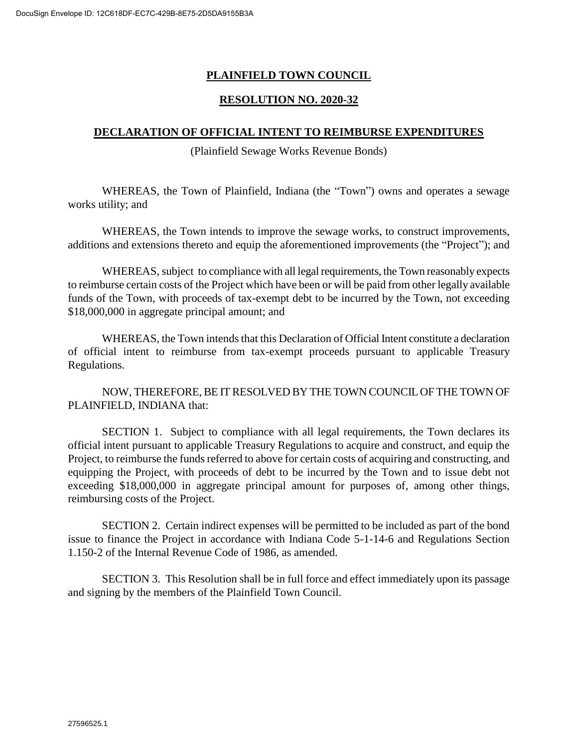## **PLAINFIELD TOWN COUNCIL**

## **RESOLUTION NO. 2020-32**

## **DECLARATION OF OFFICIAL INTENT TO REIMBURSE EXPENDITURES**

(Plainfield Sewage Works Revenue Bonds)

WHEREAS, the Town of Plainfield, Indiana (the "Town") owns and operates a sewage works utility; and

WHEREAS, the Town intends to improve the sewage works, to construct improvements, additions and extensions thereto and equip the aforementioned improvements (the "Project"); and

WHEREAS, subject to compliance with all legal requirements, the Town reasonably expects to reimburse certain costs of the Project which have been or will be paid from other legally available funds of the Town, with proceeds of tax-exempt debt to be incurred by the Town, not exceeding \$18,000,000 in aggregate principal amount; and

WHEREAS, the Town intends that this Declaration of Official Intent constitute a declaration of official intent to reimburse from tax-exempt proceeds pursuant to applicable Treasury Regulations.

NOW, THEREFORE, BE IT RESOLVED BY THE TOWN COUNCIL OF THE TOWN OF PLAINFIELD, INDIANA that:

SECTION 1. Subject to compliance with all legal requirements, the Town declares its official intent pursuant to applicable Treasury Regulations to acquire and construct, and equip the Project, to reimburse the funds referred to above for certain costs of acquiring and constructing, and equipping the Project, with proceeds of debt to be incurred by the Town and to issue debt not exceeding \$18,000,000 in aggregate principal amount for purposes of, among other things, reimbursing costs of the Project.

SECTION 2. Certain indirect expenses will be permitted to be included as part of the bond issue to finance the Project in accordance with Indiana Code 5-1-14-6 and Regulations Section 1.150-2 of the Internal Revenue Code of 1986, as amended.

SECTION 3. This Resolution shall be in full force and effect immediately upon its passage and signing by the members of the Plainfield Town Council.